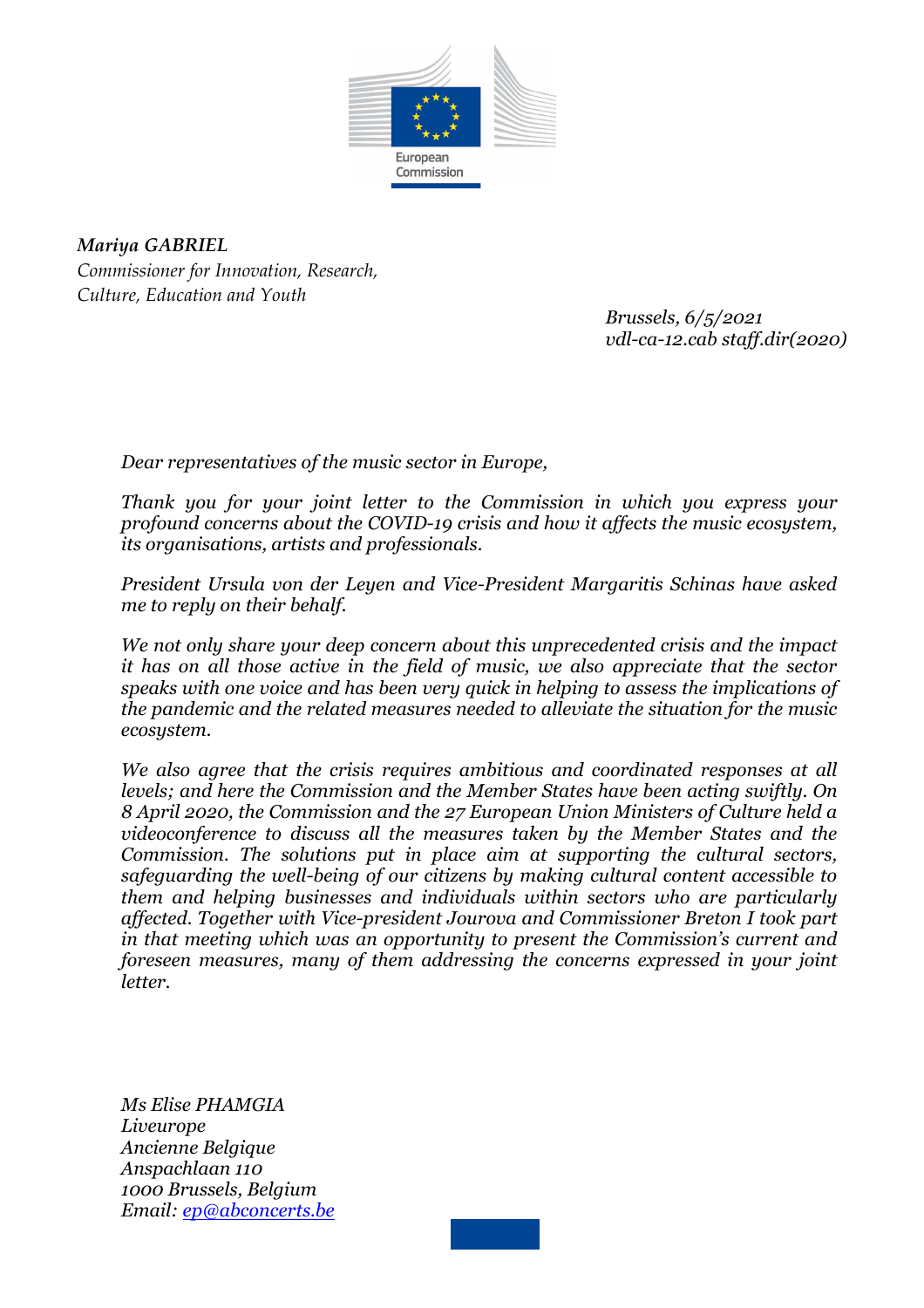

*Mariya GABRIEL Commissioner for Innovation, Research, Culture, Education and Youth* 

> *Brussels, 6/5/2021 vdl-ca-12.cab staff.dir(2020)*

*Dear representatives of the music sector in Europe,* 

*Thank you for your joint letter to the Commission in which you express your profound concerns about the COVID-19 crisis and how it affects the music ecosystem, its organisations, artists and professionals.* 

*President Ursula von der Leyen and Vice-President Margaritis Schinas have asked me to reply on their behalf.* 

*We not only share your deep concern about this unprecedented crisis and the impact it has on all those active in the field of music, we also appreciate that the sector speaks with one voice and has been very quick in helping to assess the implications of the pandemic and the related measures needed to alleviate the situation for the music ecosystem.* 

*We also agree that the crisis requires ambitious and coordinated responses at all levels; and here the Commission and the Member States have been acting swiftly. On 8 April 2020, the Commission and the 27 European Union Ministers of Culture held a videoconference to discuss all the measures taken by the Member States and the Commission. The solutions put in place aim at supporting the cultural sectors, safeguarding the well-being of our citizens by making cultural content accessible to them and helping businesses and individuals within sectors who are particularly affected. Together with Vice-president Jourova and Commissioner Breton I took part in that meeting which was an opportunity to present the Commission's current and foreseen measures, many of them addressing the concerns expressed in your joint letter.* 

*Ms Elise PHAMGIA Liveurope Ancienne Belgique Anspachlaan 110 1000 Brussels, Belgium Email: ep@abconcerts.be*